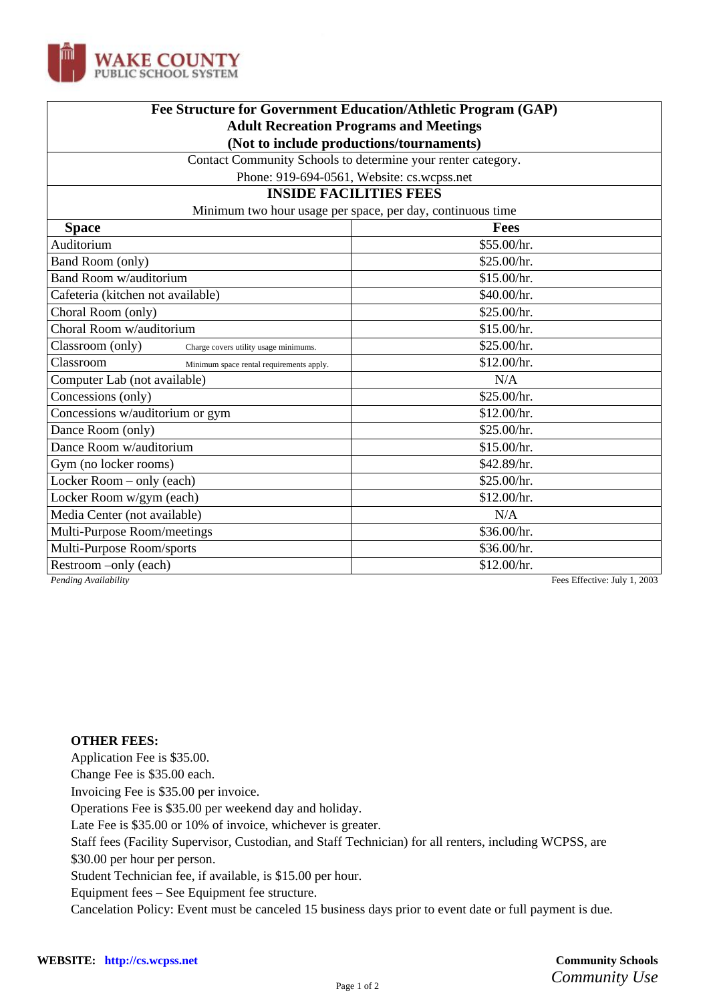

| Fee Structure for Government Education/Athletic Program (GAP)<br><b>Adult Recreation Programs and Meetings</b><br>(Not to include productions/tournaments) |                              |                                                              |  |
|------------------------------------------------------------------------------------------------------------------------------------------------------------|------------------------------|--------------------------------------------------------------|--|
|                                                                                                                                                            |                              | Contact Community Schools to determine your renter category. |  |
|                                                                                                                                                            |                              | Phone: 919-694-0561, Website: cs.wcpss.net                   |  |
| <b>INSIDE FACILITIES FEES</b>                                                                                                                              |                              |                                                              |  |
| Minimum two hour usage per space, per day, continuous time                                                                                                 |                              |                                                              |  |
| <b>Space</b>                                                                                                                                               | <b>Fees</b>                  |                                                              |  |
| Auditorium                                                                                                                                                 | \$55.00/hr.                  |                                                              |  |
| Band Room (only)                                                                                                                                           | \$25.00/hr.                  |                                                              |  |
| Band Room w/auditorium                                                                                                                                     | \$15.00/hr.                  |                                                              |  |
| Cafeteria (kitchen not available)                                                                                                                          | \$40.00/hr.                  |                                                              |  |
| Choral Room (only)                                                                                                                                         | \$25.00/hr.                  |                                                              |  |
| Choral Room w/auditorium                                                                                                                                   | \$15.00/hr.                  |                                                              |  |
| Classroom (only)<br>Charge covers utility usage minimums.                                                                                                  | \$25.00/hr.                  |                                                              |  |
| Classroom<br>Minimum space rental requirements apply.                                                                                                      | \$12.00/hr.                  |                                                              |  |
| Computer Lab (not available)                                                                                                                               | N/A                          |                                                              |  |
| Concessions (only)                                                                                                                                         | \$25.00/hr.                  |                                                              |  |
| Concessions w/auditorium or gym                                                                                                                            | \$12.00/hr.                  |                                                              |  |
| Dance Room (only)                                                                                                                                          | \$25.00/hr.                  |                                                              |  |
| Dance Room w/auditorium                                                                                                                                    | \$15.00/hr.                  |                                                              |  |
| Gym (no locker rooms)                                                                                                                                      | \$42.89/hr.                  |                                                              |  |
| Locker Room - only (each)                                                                                                                                  | \$25.00/hr.                  |                                                              |  |
| Locker Room w/gym (each)                                                                                                                                   | \$12.00/hr.                  |                                                              |  |
| Media Center (not available)                                                                                                                               | N/A                          |                                                              |  |
| Multi-Purpose Room/meetings                                                                                                                                | \$36.00/hr.                  |                                                              |  |
| Multi-Purpose Room/sports                                                                                                                                  | \$36.00/hr.                  |                                                              |  |
| Restroom –only (each)                                                                                                                                      | \$12.00/hr.                  |                                                              |  |
| Pending Availability                                                                                                                                       | Fees Effective: July 1, 2003 |                                                              |  |

## **OTHER FEES:**

Application Fee is \$35.00.

Change Fee is \$35.00 each.

Invoicing Fee is \$35.00 per invoice.

Operations Fee is \$35.00 per weekend day and holiday.

Late Fee is \$35.00 or 10% of invoice, whichever is greater.

Staff fees (Facility Supervisor, Custodian, and Staff Technician) for all renters, including WCPSS, are

\$30.00 per hour per person.

Student Technician fee, if available, is \$15.00 per hour.

Equipment fees – See Equipment fee structure.

Cancelation Policy: Event must be canceled 15 business days prior to event date or full payment is due.